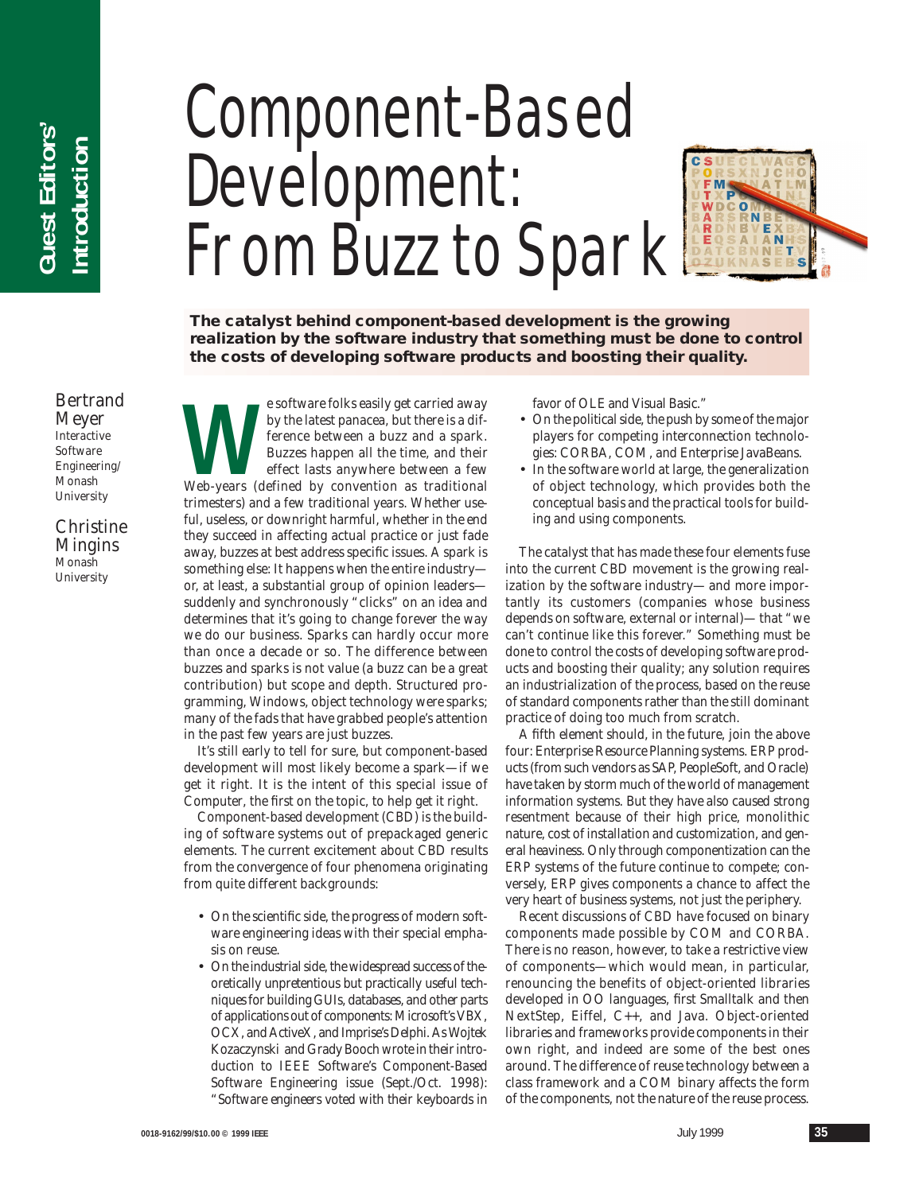## Component-Based Development: From Buzz to Spark



**The catalyst behind component-based development is the growing realization by the software industry that something must be done to control the costs of developing software products and boosting their quality.**

*Bertrand Meyer* Interactive Software Engineering/ Monash University

*Christine Mingins* Monash University

Experience of the latest panacea, but there is a difference between a buzz and a spark.<br>Buzzes happen all the time, and their<br>effect lasts anywhere between a few<br>Web-years (defined by convention as traditional by the latest panacea, but there is a difference between a buzz and a spark. Buzzes happen all the time, and their effect lasts anywhere between a few trimesters) and a few traditional years. Whether useful, useless, or downright harmful, whether in the end they succeed in affecting actual practice or just fade away, buzzes at best address specific issues. A spark is something else: It happens when the entire industry or, at least, a substantial group of opinion leaders suddenly and synchronously "clicks" on an idea and determines that it's going to change forever the way we do our business. Sparks can hardly occur more than once a decade or so. The difference between buzzes and sparks is not value (a buzz can be a great contribution) but scope and depth. Structured programming, Windows, object technology were sparks; many of the fads that have grabbed people's attention in the past few years are just buzzes.

It's still early to tell for sure, but component-based development will most likely become a spark—if we get it right. It is the intent of this special issue of *Computer*, the first on the topic, to help get it right.

Component-based development (CBD) is the building of software systems out of prepackaged generic elements. The current excitement about CBD results from the convergence of four phenomena originating from quite different backgrounds:

- On the scientific side, the progress of modern software engineering ideas with their special emphasis on reuse.
- On the industrial side, the widespread success of theoretically unpretentious but practically useful techniques for building GUIs, databases, and other parts of applications out of components: Microsoft's VBX, OCX, and ActiveX, and Imprise's Delphi. As Wojtek Kozaczynski and Grady Booch wrote in their introduction to *IEEE Software's* Component-Based Software Engineering issue (Sept./Oct. 1998): "Software engineers voted with their keyboards in

favor of OLE and Visual Basic."

- On the political side, the push by some of the major players for competing interconnection technologies: CORBA, COM, and Enterprise JavaBeans.
- In the software world at large, the generalization of object technology, which provides both the conceptual basis and the practical tools for building and using components.

The catalyst that has made these four elements fuse into the current CBD movement is the growing realization by the software industry— and more importantly its customers (companies whose business depends on software, external or internal)— that "we can't continue like this forever." Something must be done to control the costs of developing software products and boosting their quality; any solution requires an industrialization of the process, based on the reuse of standard components rather than the still dominant practice of doing too much from scratch.

A fifth element should, in the future, join the above four: Enterprise Resource Planning systems. ERP products (from such vendors as SAP, PeopleSoft, and Oracle) have taken by storm much of the world of management information systems. But they have also caused strong resentment because of their high price, monolithic nature, cost of installation and customization, and general heaviness. Only through componentization can the ERP systems of the future continue to compete; conversely, ERP gives components a chance to affect the very heart of business systems, not just the periphery.

Recent discussions of CBD have focused on binary components made possible by COM and CORBA. There is no reason, however, to take a restrictive view of components—which would mean, in particular, renouncing the benefits of object-oriented libraries developed in OO languages, first Smalltalk and then NextStep, Eiffel, C++, and Java. Object-oriented libraries and frameworks provide components in their own right, and indeed are some of the best ones around. The difference of reuse technology between a class framework and a COM binary affects the form of the components, not the nature of the reuse process.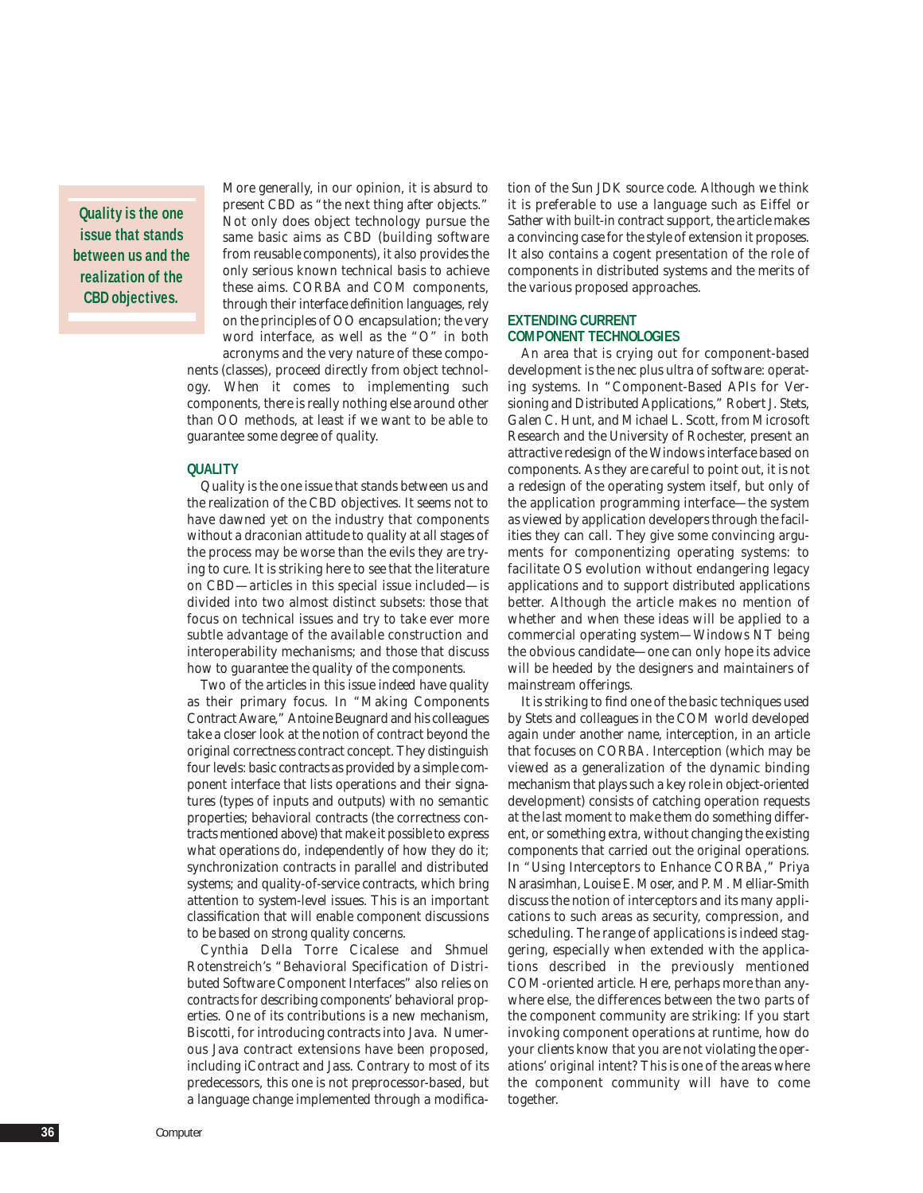**Quality is the one issue that stands between us and the realization of the CBD objectives.**

More generally, in our opinion, it is absurd to present CBD as "the next thing after objects." Not only does object technology pursue the same basic aims as CBD (building software from reusable components), it also provides the only serious known technical basis to achieve these aims. CORBA and COM components, through their interface definition languages, rely on the principles of OO encapsulation; the very word *interface*, as well as the "O" in both acronyms and the very nature of these components (classes), proceed directly from object technol-

ogy. When it comes to implementing such components, there is really nothing else around other than OO methods, at least if we want to be able to guarantee some degree of quality.

## **QUALITY**

Quality is the one issue that stands between us and the realization of the CBD objectives. It seems not to have dawned yet on the industry that components without a draconian attitude to quality at all stages of the process may be worse than the evils they are trying to cure. It is striking here to see that the literature on CBD—articles in this special issue included—is divided into two almost distinct subsets: those that focus on technical issues and try to take ever more subtle advantage of the available construction and interoperability mechanisms; and those that discuss how to guarantee the quality of the components.

Two of the articles in this issue indeed have quality as their primary focus. In "Making Components Contract Aware," Antoine Beugnard and his colleagues take a closer look at the notion of contract beyond the original correctness contract concept. They distinguish four levels: basic contracts as provided by a simple component interface that lists operations and their signatures (types of inputs and outputs) with no semantic properties; behavioral contracts (the correctness contracts mentioned above) that make it possible to express what operations do, independently of how they do it; synchronization contracts in parallel and distributed systems; and quality-of-service contracts, which bring attention to system-level issues. This is an important classification that will enable component discussions to be based on strong quality concerns.

Cynthia Della Torre Cicalese and Shmuel Rotenstreich's "Behavioral Specification of Distributed Software Component Interfaces" also relies on contracts for describing components' behavioral properties. One of its contributions is a new mechanism, *Biscotti*, for introducing contracts into Java. Numerous Java contract extensions have been proposed, including iContract and Jass. Contrary to most of its predecessors, this one is not preprocessor-based, but a language change implemented through a modification of the Sun JDK source code. Although we think it is preferable to use a language such as Eiffel or Sather with built-in contract support, the article makes a convincing case for the style of extension it proposes. It also contains a cogent presentation of the role of components in distributed systems and the merits of the various proposed approaches.

## **EXTENDING CURRENT COMPONENT TECHNOLOGIES**

An area that is crying out for component-based development is the nec plus ultra of software: operating systems. In "Component-Based APIs for Versioning and Distributed Applications," Robert J. Stets, Galen C. Hunt, and Michael L. Scott, from Microsoft Research and the University of Rochester, present an attractive redesign of the Windows interface based on components. As they are careful to point out, it is not a redesign of the operating system itself, but only of the application programming interface—the system as viewed by application developers through the facilities they can call. They give some convincing arguments for componentizing operating systems: to facilitate OS evolution without endangering legacy applications and to support distributed applications better. Although the article makes no mention of whether and when these ideas will be applied to a commercial operating system—Windows NT being the obvious candidate—one can only hope its advice will be heeded by the designers and maintainers of mainstream offerings.

It is striking to find one of the basic techniques used by Stets and colleagues in the COM world developed again under another name, *interception*, in an article that focuses on CORBA. Interception (which may be viewed as a generalization of the dynamic binding mechanism that plays such a key role in object-oriented development) consists of catching operation requests at the last moment to make them do something different, or something extra, without changing the existing components that carried out the original operations. In "Using Interceptors to Enhance CORBA," Priya Narasimhan, Louise E. Moser, and P. M. Melliar-Smith discuss the notion of interceptors and its many applications to such areas as security, compression, and scheduling. The range of applications is indeed staggering, especially when extended with the applications described in the previously mentioned COM-oriented article. Here, perhaps more than anywhere else, the differences between the two parts of the component community are striking: If you start invoking component operations at runtime, how do your clients know that you are not violating the operations' original intent? This is one of the areas where the component community will have to come together.